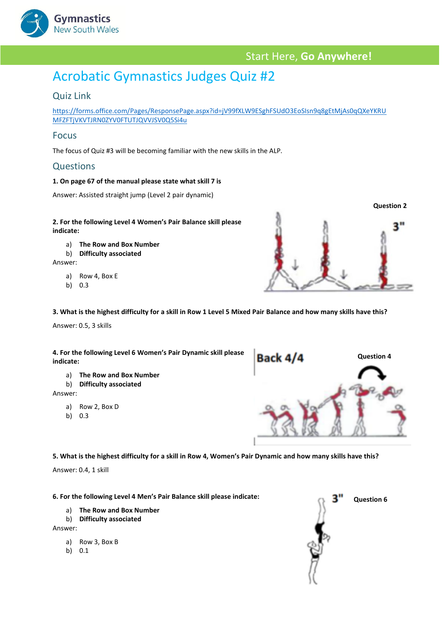

## Start Here, **Go Anywhere!**

# Acrobatic Gymnastics Judges Quiz #2

## Quiz Link

[https://forms.office.com/Pages/ResponsePage.aspx?id=jV99fXLW9ESghFSUdO3EoSIsn9q8gEtMjAs0qQXeYKRU](https://forms.office.com/Pages/ResponsePage.aspx?id=jV99fXLW9ESghFSUdO3EoSIsn9q8gEtMjAs0qQXeYKRUMFZFTjVKVTJRN0ZYV0FTUTJQVVJSV0Q5Si4u) [MFZFTjVKVTJRN0ZYV0FTUTJQVVJSV0Q5Si4u](https://forms.office.com/Pages/ResponsePage.aspx?id=jV99fXLW9ESghFSUdO3EoSIsn9q8gEtMjAs0qQXeYKRUMFZFTjVKVTJRN0ZYV0FTUTJQVVJSV0Q5Si4u)

### Focus

The focus of Quiz #3 will be becoming familiar with the new skills in the ALP.

### **Questions**

#### **1. On page 67 of the manual please state what skill 7 is**

Answer: Assisted straight jump (Level 2 pair dynamic)

#### **2. For the following Level 4 Women's Pair Balance skill please indicate:**

- a) **The Row and Box Number**
- b) **Difficulty associated**

Answer:

- a) Row 4, Box E
- b) 0.3

**3. What is the highest difficulty for a skill in Row 1 Level 5 Mixed Pair Balance and how many skills have this?**

Answer: 0.5, 3 skills

**4. For the following Level 6 Women's Pair Dynamic skill please indicate:**

- a) **The Row and Box Number**
- b) **Difficulty associated**

Answer:

- a) Row 2, Box D
- b) 0.3



**5. What is the highest difficulty for a skill in Row 4, Women's Pair Dynamic and how many skills have this?**

Answer: 0.4, 1 skill

**6. For the following Level 4 Men's Pair Balance skill please indicate:**

- a) **The Row and Box Number**
- b) **Difficulty associated**

Answer:

- a) Row 3, Box B
- b) 0.1